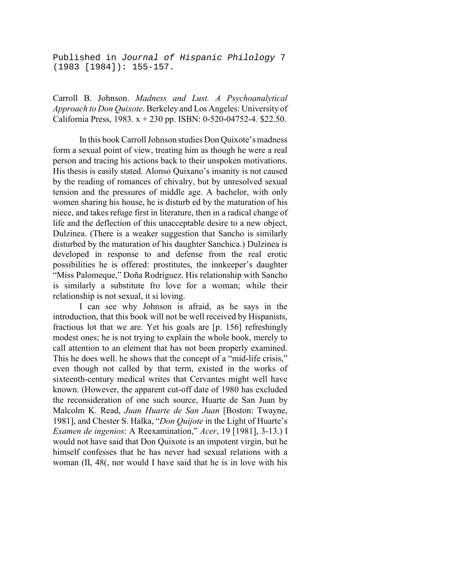Published in *Journal of Hispanic Philology* 7 (1983 [1984]): 155-157.

Carroll B. Johnson. *Madness and Lust. A Psychoanalytical Approach to Don Quixote*. Berkeley and Los Angeles: University of California Press, 1983. x + 230 pp. ISBN: 0-520-04752-4. \$22.50.

In this book Carroll Johnson studies Don Quixote's madness form a sexual point of view, treating him as though he were a real person and tracing his actions back to their unspoken motivations. His thesis is easily stated. Alonso Quixano's insanity is not caused by the reading of romances of chivalry, but by unresolved sexual tension and the pressures of middle age. A bachelor, with only women sharing his house, he is disturb ed by the maturation of his niece, and takes refuge first in literature, then in a radical change of life and the deflection of this unacceptable desire to a new object, Dulzinea. (There is a weaker suggestion that Sancho is similarly disturbed by the maturation of his daughter Sanchica.) Dulzinea is developed in response to and defense from the real erotic possibilities he is offered: prostitutes, the innkeeper's daughter "Miss Palomeque," Doña Rodríguez. His relationship with Sancho is similarly a substitute fro love for a woman; while their relationship is not sexual, it si loving.

I can see why Johnson is afraid, as he says in the introduction, that this book will not be well received by Hispanists, fractious lot that we are. Yet his goals are [p. 156] refreshingly modest ones; he is not trying to explain the whole book, merely to call attention to an element that has not been properly examined. This he does well. he shows that the concept of a "mid-life crisis," even though not called by that term, existed in the works of sixteenth-century medical writes that Cervantes might well have known. (However, the apparent cut-off date of 1980 has excluded the reconsideration of one such source, Huarte de San Juan by Malcolm K. Read, *Juan Huarte de San Juan* [Boston: Twayne, 1981], and Chester S. Halka, "*Don Quijote* in the Light of Huarte's *Examen de ingenios*: A Reexamination," *Acer*, 19 [1981], 3-13.) I would not have said that Don Quixote is an impotent virgin, but he himself confesses that he has never had sexual relations with a woman (II, 48(, nor would I have said that he is in love with his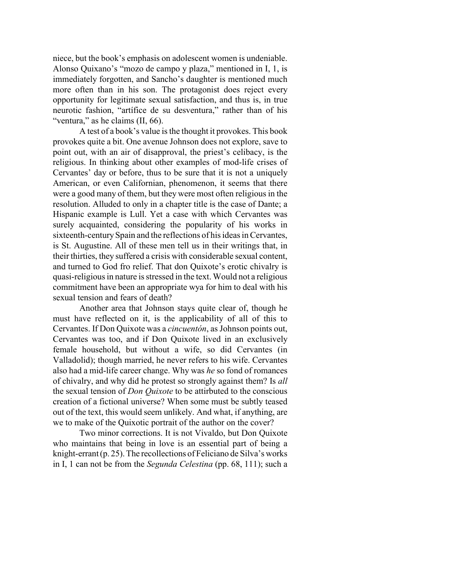niece, but the book's emphasis on adolescent women is undeniable. Alonso Quixano's "mozo de campo y plaza," mentioned in I, 1, is immediately forgotten, and Sancho's daughter is mentioned much more often than in his son. The protagonist does reject every opportunity for legitimate sexual satisfaction, and thus is, in true neurotic fashion, "artífice de su desventura," rather than of his "ventura," as he claims (II, 66).

A test of a book's value is the thought it provokes. This book provokes quite a bit. One avenue Johnson does not explore, save to point out, with an air of disapproval, the priest's celibacy, is the religious. In thinking about other examples of mod-life crises of Cervantes' day or before, thus to be sure that it is not a uniquely American, or even Californian, phenomenon, it seems that there were a good many of them, but they were most often religious in the resolution. Alluded to only in a chapter title is the case of Dante; a Hispanic example is Lull. Yet a case with which Cervantes was surely acquainted, considering the popularity of his works in sixteenth-century Spain and the reflections of his ideas in Cervantes, is St. Augustine. All of these men tell us in their writings that, in their thirties, they suffered a crisis with considerable sexual content, and turned to God fro relief. That don Quixote's erotic chivalry is quasi-religious in nature is stressed in the text. Would not a religious commitment have been an appropriate wya for him to deal with his sexual tension and fears of death?

Another area that Johnson stays quite clear of, though he must have reflected on it, is the applicability of all of this to Cervantes. If Don Quixote was a *cincuentón*, as Johnson points out, Cervantes was too, and if Don Quixote lived in an exclusively female household, but without a wife, so did Cervantes (in Valladolid); though married, he never refers to his wife. Cervantes also had a mid-life career change. Why was *he* so fond of romances of chivalry, and why did he protest so strongly against them? Is *all* the sexual tension of *Don Quixote* to be attirbuted to the conscious creation of a fictional universe? When some must be subtly teased out of the text, this would seem unlikely. And what, if anything, are we to make of the Quixotic portrait of the author on the cover?

Two minor corrections. It is not Vivaldo, but Don Quixote who maintains that being in love is an essential part of being a knight-errant  $(p. 25)$ . The recollections of Feliciano de Silva's works in I, 1 can not be from the *Segunda Celestina* (pp. 68, 111); such a